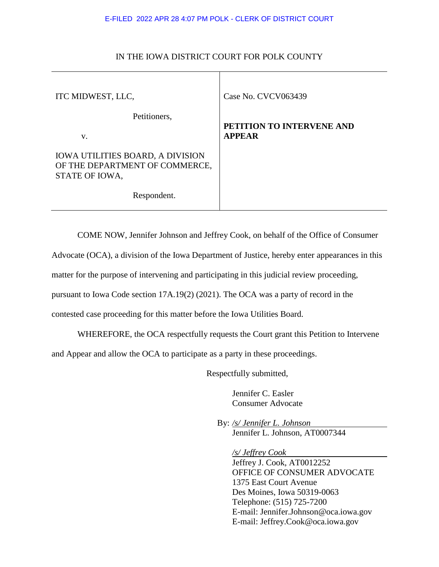## E-FILED 2022 APR 28 4:07 PM POLK - CLERK OF DISTRICT COURT

| ITC MIDWEST, LLC,                                                                           | Case No. CVCV063439                        |
|---------------------------------------------------------------------------------------------|--------------------------------------------|
| Petitioners,<br>V.                                                                          | PETITION TO INTERVENE AND<br><b>APPEAR</b> |
| <b>IOWA UTILITIES BOARD, A DIVISION</b><br>OF THE DEPARTMENT OF COMMERCE,<br>STATE OF IOWA, |                                            |
| Respondent.                                                                                 |                                            |

## IN THE IOWA DISTRICT COURT FOR POLK COUNTY

COME NOW, Jennifer Johnson and Jeffrey Cook, on behalf of the Office of Consumer

Advocate (OCA), a division of the Iowa Department of Justice, hereby enter appearances in this

matter for the purpose of intervening and participating in this judicial review proceeding,

pursuant to Iowa Code section 17A.19(2) (2021). The OCA was a party of record in the

contested case proceeding for this matter before the Iowa Utilities Board.

WHEREFORE, the OCA respectfully requests the Court grant this Petition to Intervene

and Appear and allow the OCA to participate as a party in these proceedings.

Respectfully submitted,

Jennifer C. Easler Consumer Advocate

 By: */s/ Jennifer L. Johnson* Jennifer L. Johnson, AT0007344

*/s/ Jeffrey Cook*

Jeffrey J. Cook, AT0012252 OFFICE OF CONSUMER ADVOCATE 1375 East Court Avenue Des Moines, Iowa 50319-0063 Telephone: (515) 725-7200 E-mail: Jennifer.Johnson@oca.iowa.gov E-mail: Jeffrey.Cook@oca.iowa.gov